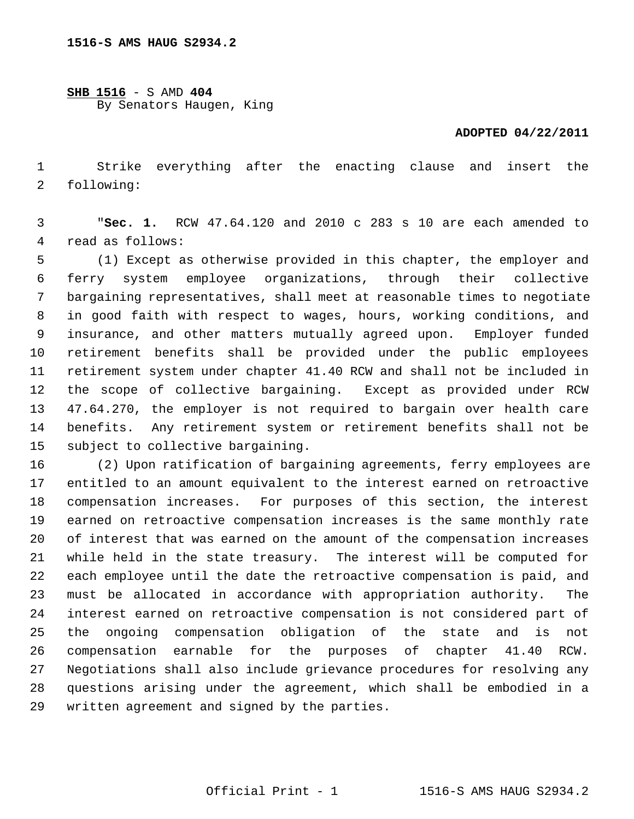**SHB 1516** - S AMD **404** By Senators Haugen, King

## **ADOPTED 04/22/2011**

 1 Strike everything after the enacting clause and insert the 2 following:

 3 "**Sec. 1.** RCW 47.64.120 and 2010 c 283 s 10 are each amended to 4 read as follows:

 5 (1) Except as otherwise provided in this chapter, the employer and 6 ferry system employee organizations, through their collective 7 bargaining representatives, shall meet at reasonable times to negotiate 8 in good faith with respect to wages, hours, working conditions, and 9 insurance, and other matters mutually agreed upon. Employer funded 10 retirement benefits shall be provided under the public employees 11 retirement system under chapter 41.40 RCW and shall not be included in 12 the scope of collective bargaining. Except as provided under RCW 13 47.64.270, the employer is not required to bargain over health care 14 benefits. Any retirement system or retirement benefits shall not be 15 subject to collective bargaining.

16 (2) Upon ratification of bargaining agreements, ferry employees are 17 entitled to an amount equivalent to the interest earned on retroactive 18 compensation increases. For purposes of this section, the interest 19 earned on retroactive compensation increases is the same monthly rate 20 of interest that was earned on the amount of the compensation increases 21 while held in the state treasury. The interest will be computed for 22 each employee until the date the retroactive compensation is paid, and 23 must be allocated in accordance with appropriation authority. The 24 interest earned on retroactive compensation is not considered part of 25 the ongoing compensation obligation of the state and is not 26 compensation earnable for the purposes of chapter 41.40 RCW. 27 Negotiations shall also include grievance procedures for resolving any 28 questions arising under the agreement, which shall be embodied in a 29 written agreement and signed by the parties.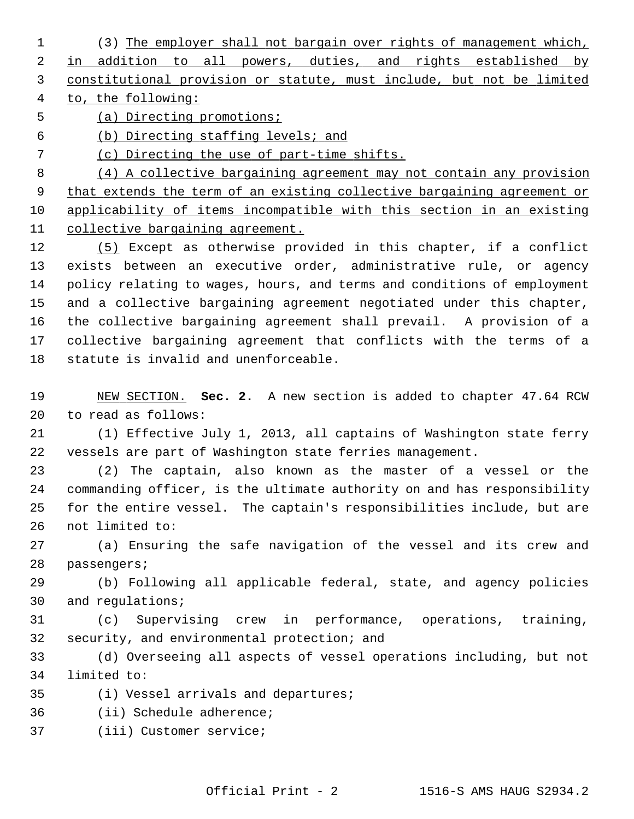1 (3) The employer shall not bargain over rights of management which, in addition to all powers, duties, and rights established by constitutional provision or statute, must include, but not be limited to, the following:

5 (a) Directing promotions;

6 (b) Directing staffing levels; and

7 (c) Directing the use of part-time shifts.

 (4) A collective bargaining agreement may not contain any provision that extends the term of an existing collective bargaining agreement or applicability of items incompatible with this section in an existing collective bargaining agreement.

12 (5) Except as otherwise provided in this chapter, if a conflict 13 exists between an executive order, administrative rule, or agency 14 policy relating to wages, hours, and terms and conditions of employment 15 and a collective bargaining agreement negotiated under this chapter, 16 the collective bargaining agreement shall prevail. A provision of a 17 collective bargaining agreement that conflicts with the terms of a 18 statute is invalid and unenforceable.

19 NEW SECTION. **Sec. 2.** A new section is added to chapter 47.64 RCW 20 to read as follows:

21 (1) Effective July 1, 2013, all captains of Washington state ferry 22 vessels are part of Washington state ferries management.

23 (2) The captain, also known as the master of a vessel or the 24 commanding officer, is the ultimate authority on and has responsibility 25 for the entire vessel. The captain's responsibilities include, but are 26 not limited to:

27 (a) Ensuring the safe navigation of the vessel and its crew and 28 passengers;

29 (b) Following all applicable federal, state, and agency policies 30 and regulations;

31 (c) Supervising crew in performance, operations, training, 32 security, and environmental protection; and

33 (d) Overseeing all aspects of vessel operations including, but not 34 limited to:

35 (i) Vessel arrivals and departures;

- 36 (ii) Schedule adherence;
- 37 (iii) Customer service;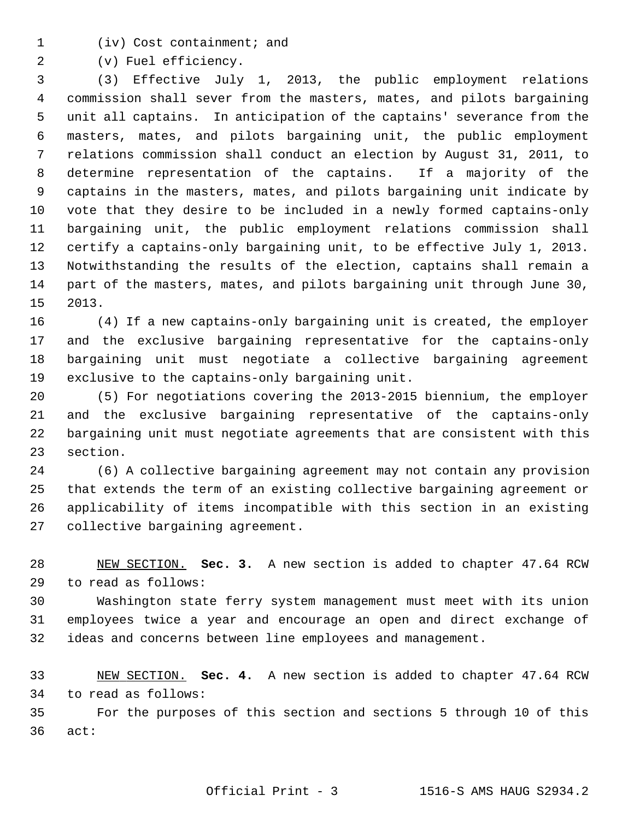1 (iv) Cost containment; and

2 (v) Fuel efficiency.

 3 (3) Effective July 1, 2013, the public employment relations 4 commission shall sever from the masters, mates, and pilots bargaining 5 unit all captains. In anticipation of the captains' severance from the 6 masters, mates, and pilots bargaining unit, the public employment 7 relations commission shall conduct an election by August 31, 2011, to 8 determine representation of the captains. If a majority of the 9 captains in the masters, mates, and pilots bargaining unit indicate by 10 vote that they desire to be included in a newly formed captains-only 11 bargaining unit, the public employment relations commission shall 12 certify a captains-only bargaining unit, to be effective July 1, 2013. 13 Notwithstanding the results of the election, captains shall remain a 14 part of the masters, mates, and pilots bargaining unit through June 30, 15 2013.

16 (4) If a new captains-only bargaining unit is created, the employer 17 and the exclusive bargaining representative for the captains-only 18 bargaining unit must negotiate a collective bargaining agreement 19 exclusive to the captains-only bargaining unit.

20 (5) For negotiations covering the 2013-2015 biennium, the employer 21 and the exclusive bargaining representative of the captains-only 22 bargaining unit must negotiate agreements that are consistent with this 23 section.

24 (6) A collective bargaining agreement may not contain any provision 25 that extends the term of an existing collective bargaining agreement or 26 applicability of items incompatible with this section in an existing 27 collective bargaining agreement.

28 NEW SECTION. **Sec. 3.** A new section is added to chapter 47.64 RCW 29 to read as follows:

30 Washington state ferry system management must meet with its union 31 employees twice a year and encourage an open and direct exchange of 32 ideas and concerns between line employees and management.

33 NEW SECTION. **Sec. 4.** A new section is added to chapter 47.64 RCW 34 to read as follows:

35 For the purposes of this section and sections 5 through 10 of this 36 act: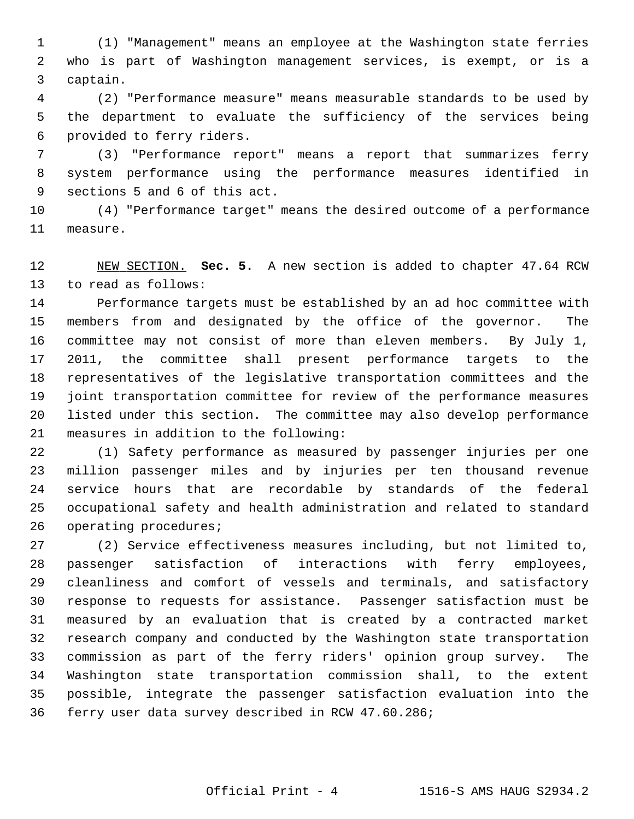1 (1) "Management" means an employee at the Washington state ferries 2 who is part of Washington management services, is exempt, or is a 3 captain.

 4 (2) "Performance measure" means measurable standards to be used by 5 the department to evaluate the sufficiency of the services being 6 provided to ferry riders.

 7 (3) "Performance report" means a report that summarizes ferry 8 system performance using the performance measures identified in 9 sections 5 and 6 of this act.

10 (4) "Performance target" means the desired outcome of a performance 11 measure.

12 NEW SECTION. **Sec. 5.** A new section is added to chapter 47.64 RCW 13 to read as follows:

14 Performance targets must be established by an ad hoc committee with 15 members from and designated by the office of the governor. The 16 committee may not consist of more than eleven members. By July 1, 17 2011, the committee shall present performance targets to the 18 representatives of the legislative transportation committees and the 19 joint transportation committee for review of the performance measures 20 listed under this section. The committee may also develop performance 21 measures in addition to the following:

22 (1) Safety performance as measured by passenger injuries per one 23 million passenger miles and by injuries per ten thousand revenue 24 service hours that are recordable by standards of the federal 25 occupational safety and health administration and related to standard 26 operating procedures;

27 (2) Service effectiveness measures including, but not limited to, 28 passenger satisfaction of interactions with ferry employees, 29 cleanliness and comfort of vessels and terminals, and satisfactory 30 response to requests for assistance. Passenger satisfaction must be 31 measured by an evaluation that is created by a contracted market 32 research company and conducted by the Washington state transportation 33 commission as part of the ferry riders' opinion group survey. The 34 Washington state transportation commission shall, to the extent 35 possible, integrate the passenger satisfaction evaluation into the 36 ferry user data survey described in RCW 47.60.286;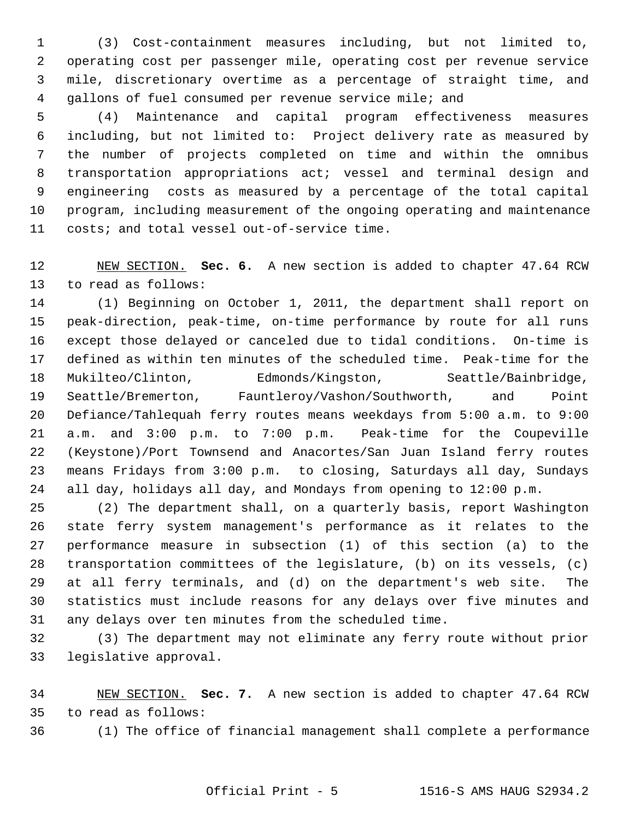1 (3) Cost-containment measures including, but not limited to, 2 operating cost per passenger mile, operating cost per revenue service 3 mile, discretionary overtime as a percentage of straight time, and 4 gallons of fuel consumed per revenue service mile; and

 5 (4) Maintenance and capital program effectiveness measures 6 including, but not limited to: Project delivery rate as measured by 7 the number of projects completed on time and within the omnibus 8 transportation appropriations act; vessel and terminal design and 9 engineering costs as measured by a percentage of the total capital 10 program, including measurement of the ongoing operating and maintenance 11 costs; and total vessel out-of-service time.

12 NEW SECTION. **Sec. 6.** A new section is added to chapter 47.64 RCW 13 to read as follows:

14 (1) Beginning on October 1, 2011, the department shall report on 15 peak-direction, peak-time, on-time performance by route for all runs 16 except those delayed or canceled due to tidal conditions. On-time is 17 defined as within ten minutes of the scheduled time. Peak-time for the 18 Mukilteo/Clinton, Edmonds/Kingston, Seattle/Bainbridge, 19 Seattle/Bremerton, Fauntleroy/Vashon/Southworth, and Point 20 Defiance/Tahlequah ferry routes means weekdays from 5:00 a.m. to 9:00 21 a.m. and 3:00 p.m. to 7:00 p.m. Peak-time for the Coupeville 22 (Keystone)/Port Townsend and Anacortes/San Juan Island ferry routes 23 means Fridays from 3:00 p.m. to closing, Saturdays all day, Sundays 24 all day, holidays all day, and Mondays from opening to 12:00 p.m.

25 (2) The department shall, on a quarterly basis, report Washington 26 state ferry system management's performance as it relates to the 27 performance measure in subsection (1) of this section (a) to the 28 transportation committees of the legislature, (b) on its vessels, (c) 29 at all ferry terminals, and (d) on the department's web site. The 30 statistics must include reasons for any delays over five minutes and 31 any delays over ten minutes from the scheduled time.

32 (3) The department may not eliminate any ferry route without prior 33 legislative approval.

34 NEW SECTION. **Sec. 7.** A new section is added to chapter 47.64 RCW 35 to read as follows:

36 (1) The office of financial management shall complete a performance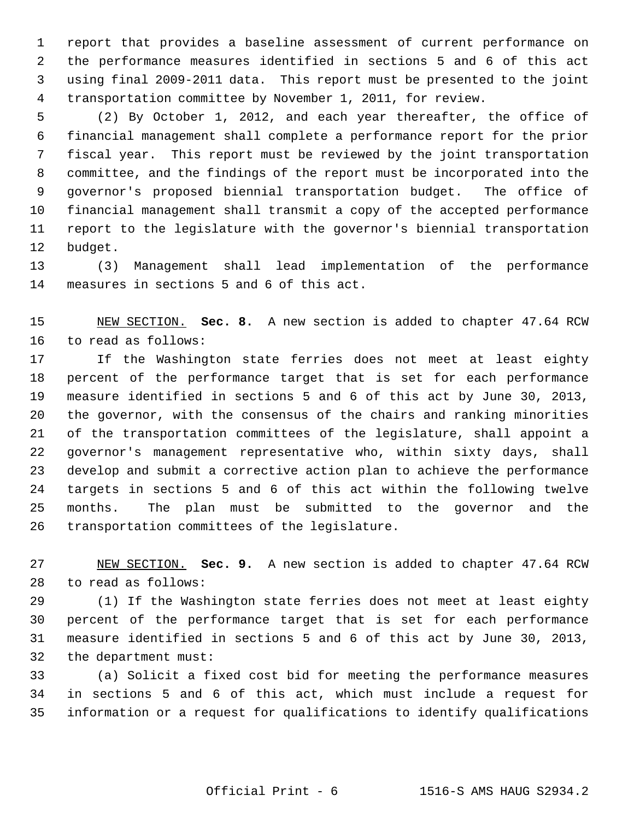1 report that provides a baseline assessment of current performance on 2 the performance measures identified in sections 5 and 6 of this act 3 using final 2009-2011 data. This report must be presented to the joint 4 transportation committee by November 1, 2011, for review.

 5 (2) By October 1, 2012, and each year thereafter, the office of 6 financial management shall complete a performance report for the prior 7 fiscal year. This report must be reviewed by the joint transportation 8 committee, and the findings of the report must be incorporated into the 9 governor's proposed biennial transportation budget. The office of 10 financial management shall transmit a copy of the accepted performance 11 report to the legislature with the governor's biennial transportation 12 budget.

13 (3) Management shall lead implementation of the performance 14 measures in sections 5 and 6 of this act.

15 NEW SECTION. **Sec. 8.** A new section is added to chapter 47.64 RCW 16 to read as follows:

17 If the Washington state ferries does not meet at least eighty 18 percent of the performance target that is set for each performance 19 measure identified in sections 5 and 6 of this act by June 30, 2013, 20 the governor, with the consensus of the chairs and ranking minorities 21 of the transportation committees of the legislature, shall appoint a 22 governor's management representative who, within sixty days, shall 23 develop and submit a corrective action plan to achieve the performance 24 targets in sections 5 and 6 of this act within the following twelve 25 months. The plan must be submitted to the governor and the 26 transportation committees of the legislature.

27 NEW SECTION. **Sec. 9.** A new section is added to chapter 47.64 RCW 28 to read as follows:

29 (1) If the Washington state ferries does not meet at least eighty 30 percent of the performance target that is set for each performance 31 measure identified in sections 5 and 6 of this act by June 30, 2013, 32 the department must:

33 (a) Solicit a fixed cost bid for meeting the performance measures 34 in sections 5 and 6 of this act, which must include a request for 35 information or a request for qualifications to identify qualifications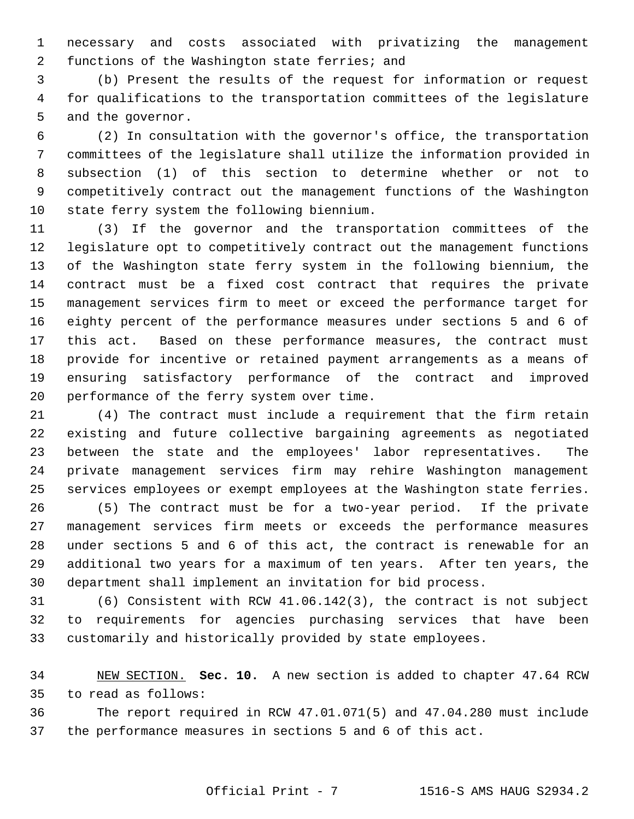1 necessary and costs associated with privatizing the management 2 functions of the Washington state ferries; and

 3 (b) Present the results of the request for information or request 4 for qualifications to the transportation committees of the legislature 5 and the governor.

 6 (2) In consultation with the governor's office, the transportation 7 committees of the legislature shall utilize the information provided in 8 subsection (1) of this section to determine whether or not to 9 competitively contract out the management functions of the Washington 10 state ferry system the following biennium.

11 (3) If the governor and the transportation committees of the 12 legislature opt to competitively contract out the management functions 13 of the Washington state ferry system in the following biennium, the 14 contract must be a fixed cost contract that requires the private 15 management services firm to meet or exceed the performance target for 16 eighty percent of the performance measures under sections 5 and 6 of 17 this act. Based on these performance measures, the contract must 18 provide for incentive or retained payment arrangements as a means of 19 ensuring satisfactory performance of the contract and improved 20 performance of the ferry system over time.

21 (4) The contract must include a requirement that the firm retain 22 existing and future collective bargaining agreements as negotiated 23 between the state and the employees' labor representatives. The 24 private management services firm may rehire Washington management 25 services employees or exempt employees at the Washington state ferries.

26 (5) The contract must be for a two-year period. If the private 27 management services firm meets or exceeds the performance measures 28 under sections 5 and 6 of this act, the contract is renewable for an 29 additional two years for a maximum of ten years. After ten years, the 30 department shall implement an invitation for bid process.

31 (6) Consistent with RCW 41.06.142(3), the contract is not subject 32 to requirements for agencies purchasing services that have been 33 customarily and historically provided by state employees.

34 NEW SECTION. **Sec. 10.** A new section is added to chapter 47.64 RCW 35 to read as follows:

36 The report required in RCW 47.01.071(5) and 47.04.280 must include 37 the performance measures in sections 5 and 6 of this act.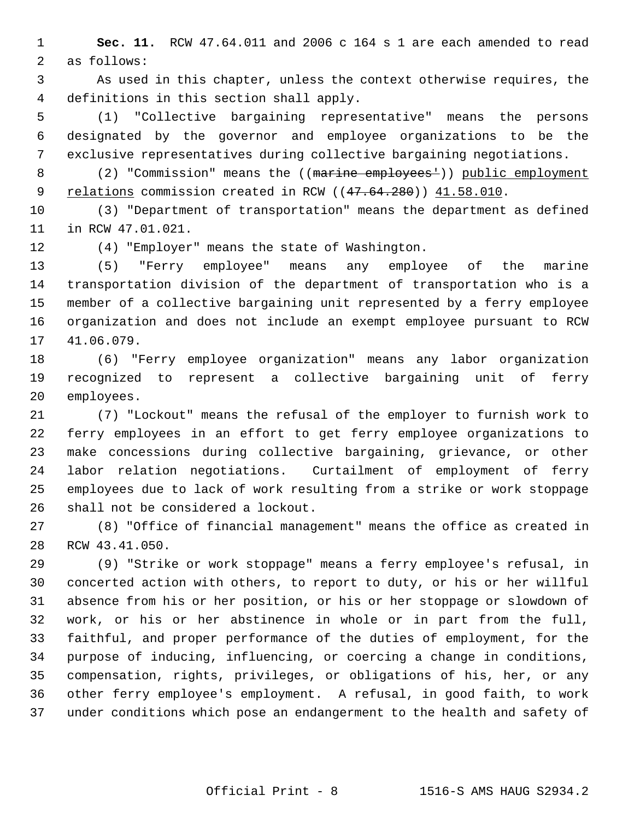1 **Sec. 11.** RCW 47.64.011 and 2006 c 164 s 1 are each amended to read 2 as follows:

 3 As used in this chapter, unless the context otherwise requires, the 4 definitions in this section shall apply.

 5 (1) "Collective bargaining representative" means the persons 6 designated by the governor and employee organizations to be the 7 exclusive representatives during collective bargaining negotiations.

8 (2) "Commission" means the ((marine employees<sup>+</sup>)) public employment 9 relations commission created in RCW ((47.64.280)) 41.58.010.

10 (3) "Department of transportation" means the department as defined 11 in RCW 47.01.021.

12 (4) "Employer" means the state of Washington.

13 (5) "Ferry employee" means any employee of the marine 14 transportation division of the department of transportation who is a 15 member of a collective bargaining unit represented by a ferry employee 16 organization and does not include an exempt employee pursuant to RCW 17 41.06.079.

18 (6) "Ferry employee organization" means any labor organization 19 recognized to represent a collective bargaining unit of ferry 20 employees.

21 (7) "Lockout" means the refusal of the employer to furnish work to 22 ferry employees in an effort to get ferry employee organizations to 23 make concessions during collective bargaining, grievance, or other 24 labor relation negotiations. Curtailment of employment of ferry 25 employees due to lack of work resulting from a strike or work stoppage 26 shall not be considered a lockout.

27 (8) "Office of financial management" means the office as created in 28 RCW 43.41.050.

29 (9) "Strike or work stoppage" means a ferry employee's refusal, in 30 concerted action with others, to report to duty, or his or her willful 31 absence from his or her position, or his or her stoppage or slowdown of 32 work, or his or her abstinence in whole or in part from the full, 33 faithful, and proper performance of the duties of employment, for the 34 purpose of inducing, influencing, or coercing a change in conditions, 35 compensation, rights, privileges, or obligations of his, her, or any 36 other ferry employee's employment. A refusal, in good faith, to work 37 under conditions which pose an endangerment to the health and safety of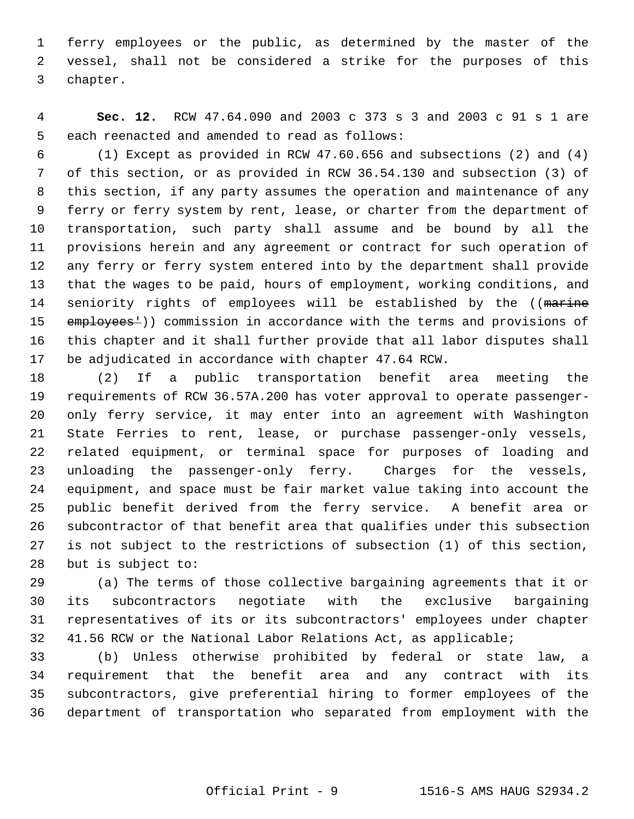1 ferry employees or the public, as determined by the master of the 2 vessel, shall not be considered a strike for the purposes of this 3 chapter.

 4 **Sec. 12.** RCW 47.64.090 and 2003 c 373 s 3 and 2003 c 91 s 1 are 5 each reenacted and amended to read as follows:

 6 (1) Except as provided in RCW 47.60.656 and subsections (2) and (4) 7 of this section, or as provided in RCW 36.54.130 and subsection (3) of 8 this section, if any party assumes the operation and maintenance of any 9 ferry or ferry system by rent, lease, or charter from the department of 10 transportation, such party shall assume and be bound by all the 11 provisions herein and any agreement or contract for such operation of 12 any ferry or ferry system entered into by the department shall provide 13 that the wages to be paid, hours of employment, working conditions, and 14 seniority rights of employees will be established by the ((marine 15 employees<sup>1</sup>)) commission in accordance with the terms and provisions of 16 this chapter and it shall further provide that all labor disputes shall 17 be adjudicated in accordance with chapter 47.64 RCW.

18 (2) If a public transportation benefit area meeting the 19 requirements of RCW 36.57A.200 has voter approval to operate passenger-20 only ferry service, it may enter into an agreement with Washington 21 State Ferries to rent, lease, or purchase passenger-only vessels, 22 related equipment, or terminal space for purposes of loading and 23 unloading the passenger-only ferry. Charges for the vessels, 24 equipment, and space must be fair market value taking into account the 25 public benefit derived from the ferry service. A benefit area or 26 subcontractor of that benefit area that qualifies under this subsection 27 is not subject to the restrictions of subsection (1) of this section, 28 but is subject to:

29 (a) The terms of those collective bargaining agreements that it or 30 its subcontractors negotiate with the exclusive bargaining 31 representatives of its or its subcontractors' employees under chapter 32 41.56 RCW or the National Labor Relations Act, as applicable;

33 (b) Unless otherwise prohibited by federal or state law, a 34 requirement that the benefit area and any contract with its 35 subcontractors, give preferential hiring to former employees of the 36 department of transportation who separated from employment with the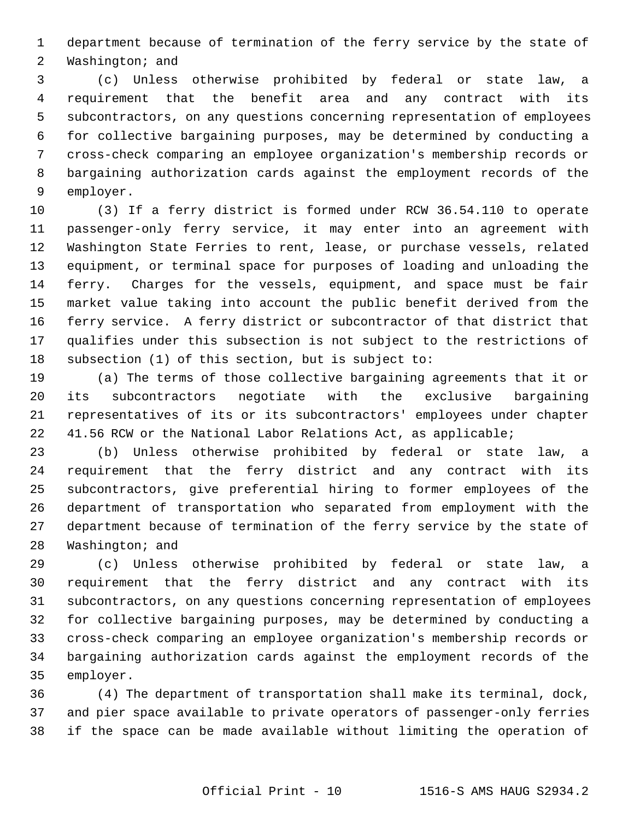1 department because of termination of the ferry service by the state of

2 Washington; and

 3 (c) Unless otherwise prohibited by federal or state law, a 4 requirement that the benefit area and any contract with its 5 subcontractors, on any questions concerning representation of employees 6 for collective bargaining purposes, may be determined by conducting a 7 cross-check comparing an employee organization's membership records or 8 bargaining authorization cards against the employment records of the 9 employer.

10 (3) If a ferry district is formed under RCW 36.54.110 to operate 11 passenger-only ferry service, it may enter into an agreement with 12 Washington State Ferries to rent, lease, or purchase vessels, related 13 equipment, or terminal space for purposes of loading and unloading the 14 ferry. Charges for the vessels, equipment, and space must be fair 15 market value taking into account the public benefit derived from the 16 ferry service. A ferry district or subcontractor of that district that 17 qualifies under this subsection is not subject to the restrictions of 18 subsection (1) of this section, but is subject to:

19 (a) The terms of those collective bargaining agreements that it or 20 its subcontractors negotiate with the exclusive bargaining 21 representatives of its or its subcontractors' employees under chapter 22 41.56 RCW or the National Labor Relations Act, as applicable;

23 (b) Unless otherwise prohibited by federal or state law, a 24 requirement that the ferry district and any contract with its 25 subcontractors, give preferential hiring to former employees of the 26 department of transportation who separated from employment with the 27 department because of termination of the ferry service by the state of 28 Washington; and

29 (c) Unless otherwise prohibited by federal or state law, a 30 requirement that the ferry district and any contract with its 31 subcontractors, on any questions concerning representation of employees 32 for collective bargaining purposes, may be determined by conducting a 33 cross-check comparing an employee organization's membership records or 34 bargaining authorization cards against the employment records of the 35 employer.

36 (4) The department of transportation shall make its terminal, dock, 37 and pier space available to private operators of passenger-only ferries 38 if the space can be made available without limiting the operation of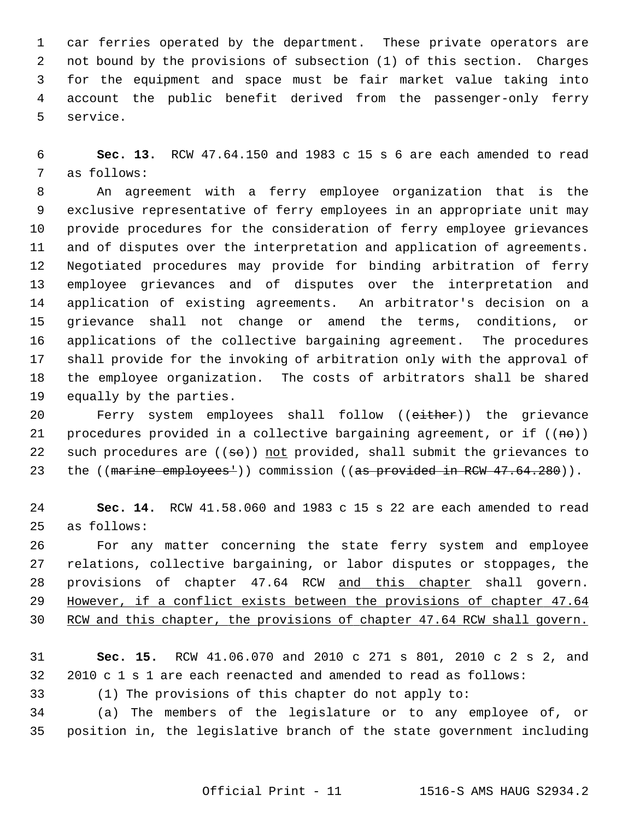1 car ferries operated by the department. These private operators are 2 not bound by the provisions of subsection (1) of this section. Charges 3 for the equipment and space must be fair market value taking into 4 account the public benefit derived from the passenger-only ferry 5 service.

 6 **Sec. 13.** RCW 47.64.150 and 1983 c 15 s 6 are each amended to read 7 as follows:

 8 An agreement with a ferry employee organization that is the 9 exclusive representative of ferry employees in an appropriate unit may 10 provide procedures for the consideration of ferry employee grievances 11 and of disputes over the interpretation and application of agreements. 12 Negotiated procedures may provide for binding arbitration of ferry 13 employee grievances and of disputes over the interpretation and 14 application of existing agreements. An arbitrator's decision on a 15 grievance shall not change or amend the terms, conditions, or 16 applications of the collective bargaining agreement. The procedures 17 shall provide for the invoking of arbitration only with the approval of 18 the employee organization. The costs of arbitrators shall be shared 19 equally by the parties.

20 Ferry system employees shall follow ((either)) the grievance 21 procedures provided in a collective bargaining agreement, or if  $((n\theta))$ 22 such procedures are  $((\text{se}))$  not provided, shall submit the grievances to 23 the ((marine employees<sup>1</sup>)) commission ((as provided in RCW 47.64.280)).

24 **Sec. 14.** RCW 41.58.060 and 1983 c 15 s 22 are each amended to read 25 as follows:

26 For any matter concerning the state ferry system and employee 27 relations, collective bargaining, or labor disputes or stoppages, the 28 provisions of chapter 47.64 RCW and this chapter shall govern. 29 However, if a conflict exists between the provisions of chapter 47.64 30 RCW and this chapter, the provisions of chapter 47.64 RCW shall govern.

31 **Sec. 15.** RCW 41.06.070 and 2010 c 271 s 801, 2010 c 2 s 2, and 32 2010 c 1 s 1 are each reenacted and amended to read as follows: 33 (1) The provisions of this chapter do not apply to: 34 (a) The members of the legislature or to any employee of, or 35 position in, the legislative branch of the state government including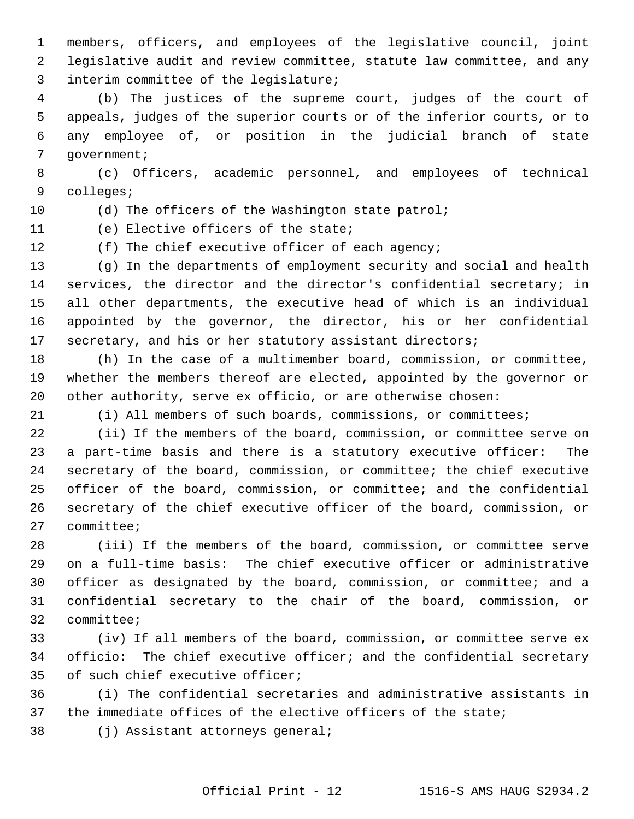1 members, officers, and employees of the legislative council, joint 2 legislative audit and review committee, statute law committee, and any 3 interim committee of the legislature;

 4 (b) The justices of the supreme court, judges of the court of 5 appeals, judges of the superior courts or of the inferior courts, or to 6 any employee of, or position in the judicial branch of state 7 government;

 8 (c) Officers, academic personnel, and employees of technical 9 colleges;

10 (d) The officers of the Washington state patrol;

11 (e) Elective officers of the state;

12 (f) The chief executive officer of each agency;

13 (g) In the departments of employment security and social and health 14 services, the director and the director's confidential secretary; in 15 all other departments, the executive head of which is an individual 16 appointed by the governor, the director, his or her confidential 17 secretary, and his or her statutory assistant directors;

18 (h) In the case of a multimember board, commission, or committee, 19 whether the members thereof are elected, appointed by the governor or 20 other authority, serve ex officio, or are otherwise chosen:

21 (i) All members of such boards, commissions, or committees;

22 (ii) If the members of the board, commission, or committee serve on 23 a part-time basis and there is a statutory executive officer: The 24 secretary of the board, commission, or committee; the chief executive 25 officer of the board, commission, or committee; and the confidential 26 secretary of the chief executive officer of the board, commission, or 27 committee;

28 (iii) If the members of the board, commission, or committee serve 29 on a full-time basis: The chief executive officer or administrative 30 officer as designated by the board, commission, or committee; and a 31 confidential secretary to the chair of the board, commission, or 32 committee;

33 (iv) If all members of the board, commission, or committee serve ex 34 officio: The chief executive officer; and the confidential secretary 35 of such chief executive officer;

36 (i) The confidential secretaries and administrative assistants in 37 the immediate offices of the elective officers of the state;

38 (j) Assistant attorneys general;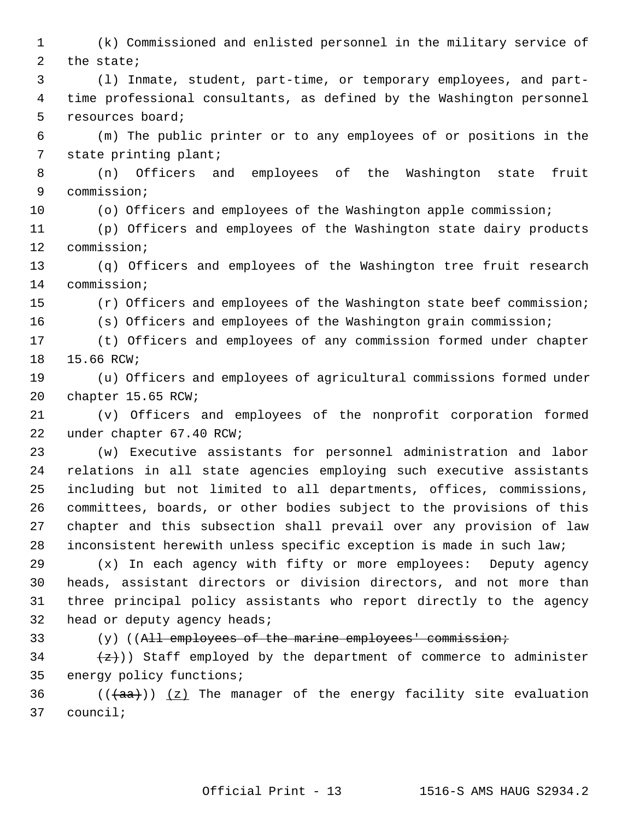1 (k) Commissioned and enlisted personnel in the military service of 2 the state;

 3 (l) Inmate, student, part-time, or temporary employees, and part- 4 time professional consultants, as defined by the Washington personnel 5 resources board;

 6 (m) The public printer or to any employees of or positions in the 7 state printing plant;

 8 (n) Officers and employees of the Washington state fruit 9 commission;

10 (o) Officers and employees of the Washington apple commission;

11 (p) Officers and employees of the Washington state dairy products 12 commission;

13 (q) Officers and employees of the Washington tree fruit research 14 commission;

15 (r) Officers and employees of the Washington state beef commission;

16 (s) Officers and employees of the Washington grain commission;

17 (t) Officers and employees of any commission formed under chapter 18 15.66 RCW;

19 (u) Officers and employees of agricultural commissions formed under 20 chapter 15.65 RCW;

21 (v) Officers and employees of the nonprofit corporation formed 22 under chapter 67.40 RCW;

23 (w) Executive assistants for personnel administration and labor 24 relations in all state agencies employing such executive assistants 25 including but not limited to all departments, offices, commissions, 26 committees, boards, or other bodies subject to the provisions of this 27 chapter and this subsection shall prevail over any provision of law 28 inconsistent herewith unless specific exception is made in such law;

29 (x) In each agency with fifty or more employees: Deputy agency 30 heads, assistant directors or division directors, and not more than 31 three principal policy assistants who report directly to the agency 32 head or deputy agency heads;

## 33 (y) ((All employees of the marine employees' commission;

34  $\{z\})$ ) Staff employed by the department of commerce to administer 35 energy policy functions;

36  $((+aa))$   $(z)$  The manager of the energy facility site evaluation 37 council;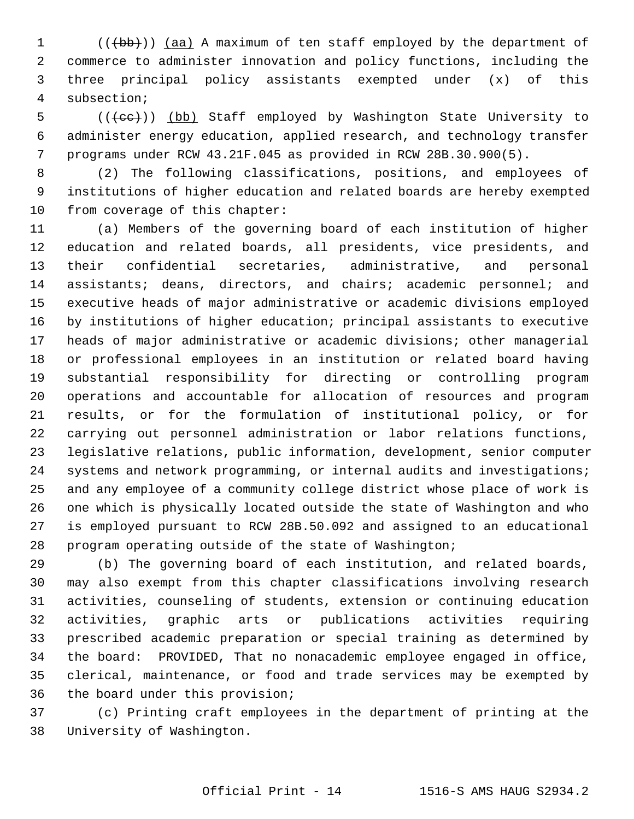1 (((bb))) (aa) A maximum of ten staff employed by the department of 2 commerce to administer innovation and policy functions, including the 3 three principal policy assistants exempted under (x) of this 4 subsection;

5 (((ee))) (bb) Staff employed by Washington State University to 6 administer energy education, applied research, and technology transfer 7 programs under RCW 43.21F.045 as provided in RCW 28B.30.900(5).

 8 (2) The following classifications, positions, and employees of 9 institutions of higher education and related boards are hereby exempted 10 from coverage of this chapter:

11 (a) Members of the governing board of each institution of higher 12 education and related boards, all presidents, vice presidents, and 13 their confidential secretaries, administrative, and personal 14 assistants; deans, directors, and chairs; academic personnel; and 15 executive heads of major administrative or academic divisions employed 16 by institutions of higher education; principal assistants to executive 17 heads of major administrative or academic divisions; other managerial 18 or professional employees in an institution or related board having 19 substantial responsibility for directing or controlling program 20 operations and accountable for allocation of resources and program 21 results, or for the formulation of institutional policy, or for 22 carrying out personnel administration or labor relations functions, 23 legislative relations, public information, development, senior computer 24 systems and network programming, or internal audits and investigations; 25 and any employee of a community college district whose place of work is 26 one which is physically located outside the state of Washington and who 27 is employed pursuant to RCW 28B.50.092 and assigned to an educational 28 program operating outside of the state of Washington;

29 (b) The governing board of each institution, and related boards, 30 may also exempt from this chapter classifications involving research 31 activities, counseling of students, extension or continuing education 32 activities, graphic arts or publications activities requiring 33 prescribed academic preparation or special training as determined by 34 the board: PROVIDED, That no nonacademic employee engaged in office, 35 clerical, maintenance, or food and trade services may be exempted by 36 the board under this provision;

37 (c) Printing craft employees in the department of printing at the 38 University of Washington.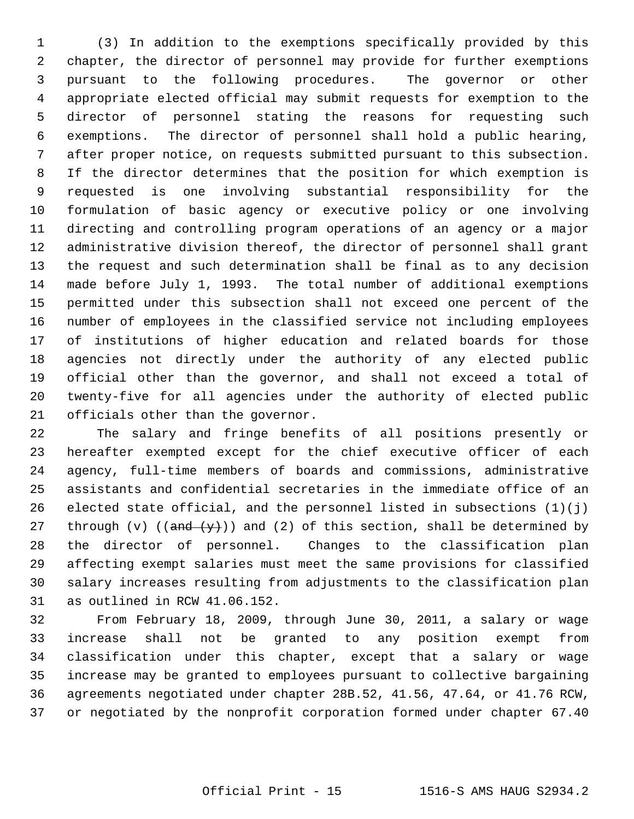1 (3) In addition to the exemptions specifically provided by this 2 chapter, the director of personnel may provide for further exemptions 3 pursuant to the following procedures. The governor or other 4 appropriate elected official may submit requests for exemption to the 5 director of personnel stating the reasons for requesting such 6 exemptions. The director of personnel shall hold a public hearing, 7 after proper notice, on requests submitted pursuant to this subsection. 8 If the director determines that the position for which exemption is 9 requested is one involving substantial responsibility for the 10 formulation of basic agency or executive policy or one involving 11 directing and controlling program operations of an agency or a major 12 administrative division thereof, the director of personnel shall grant 13 the request and such determination shall be final as to any decision 14 made before July 1, 1993. The total number of additional exemptions 15 permitted under this subsection shall not exceed one percent of the 16 number of employees in the classified service not including employees 17 of institutions of higher education and related boards for those 18 agencies not directly under the authority of any elected public 19 official other than the governor, and shall not exceed a total of 20 twenty-five for all agencies under the authority of elected public 21 officials other than the governor.

22 The salary and fringe benefits of all positions presently or 23 hereafter exempted except for the chief executive officer of each 24 agency, full-time members of boards and commissions, administrative 25 assistants and confidential secretaries in the immediate office of an 26 elected state official, and the personnel listed in subsections (1)(j) 27 through (v) (( $\frac{and (y)}{y}$ )) and (2) of this section, shall be determined by 28 the director of personnel. Changes to the classification plan 29 affecting exempt salaries must meet the same provisions for classified 30 salary increases resulting from adjustments to the classification plan 31 as outlined in RCW 41.06.152.

32 From February 18, 2009, through June 30, 2011, a salary or wage 33 increase shall not be granted to any position exempt from 34 classification under this chapter, except that a salary or wage 35 increase may be granted to employees pursuant to collective bargaining 36 agreements negotiated under chapter 28B.52, 41.56, 47.64, or 41.76 RCW, 37 or negotiated by the nonprofit corporation formed under chapter 67.40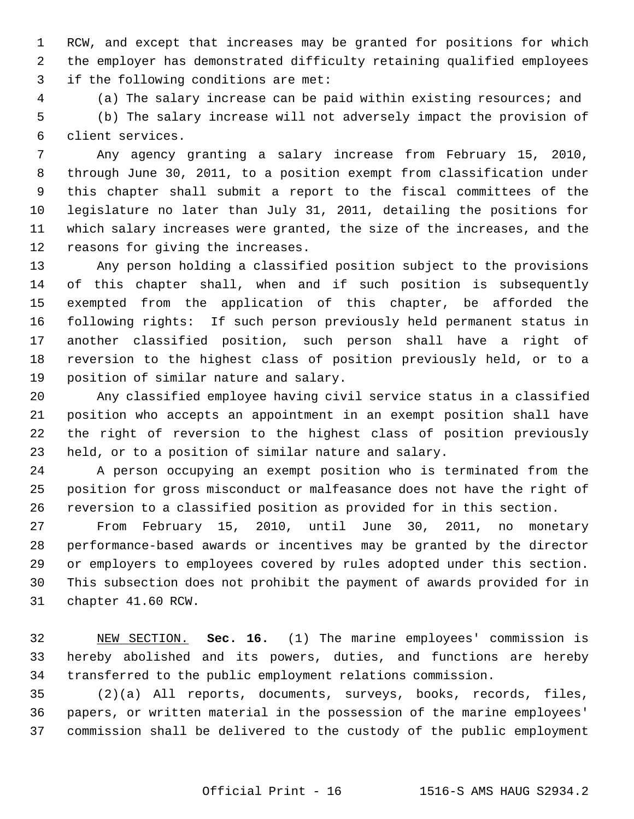1 RCW, and except that increases may be granted for positions for which 2 the employer has demonstrated difficulty retaining qualified employees 3 if the following conditions are met:

4 (a) The salary increase can be paid within existing resources; and

 5 (b) The salary increase will not adversely impact the provision of 6 client services.

 7 Any agency granting a salary increase from February 15, 2010, 8 through June 30, 2011, to a position exempt from classification under 9 this chapter shall submit a report to the fiscal committees of the 10 legislature no later than July 31, 2011, detailing the positions for 11 which salary increases were granted, the size of the increases, and the 12 reasons for giving the increases.

13 Any person holding a classified position subject to the provisions 14 of this chapter shall, when and if such position is subsequently 15 exempted from the application of this chapter, be afforded the 16 following rights: If such person previously held permanent status in 17 another classified position, such person shall have a right of 18 reversion to the highest class of position previously held, or to a 19 position of similar nature and salary.

20 Any classified employee having civil service status in a classified 21 position who accepts an appointment in an exempt position shall have 22 the right of reversion to the highest class of position previously 23 held, or to a position of similar nature and salary.

24 A person occupying an exempt position who is terminated from the 25 position for gross misconduct or malfeasance does not have the right of 26 reversion to a classified position as provided for in this section.

27 From February 15, 2010, until June 30, 2011, no monetary 28 performance-based awards or incentives may be granted by the director 29 or employers to employees covered by rules adopted under this section. 30 This subsection does not prohibit the payment of awards provided for in 31 chapter 41.60 RCW.

32 NEW SECTION. **Sec. 16.** (1) The marine employees' commission is 33 hereby abolished and its powers, duties, and functions are hereby 34 transferred to the public employment relations commission.

35 (2)(a) All reports, documents, surveys, books, records, files, 36 papers, or written material in the possession of the marine employees' 37 commission shall be delivered to the custody of the public employment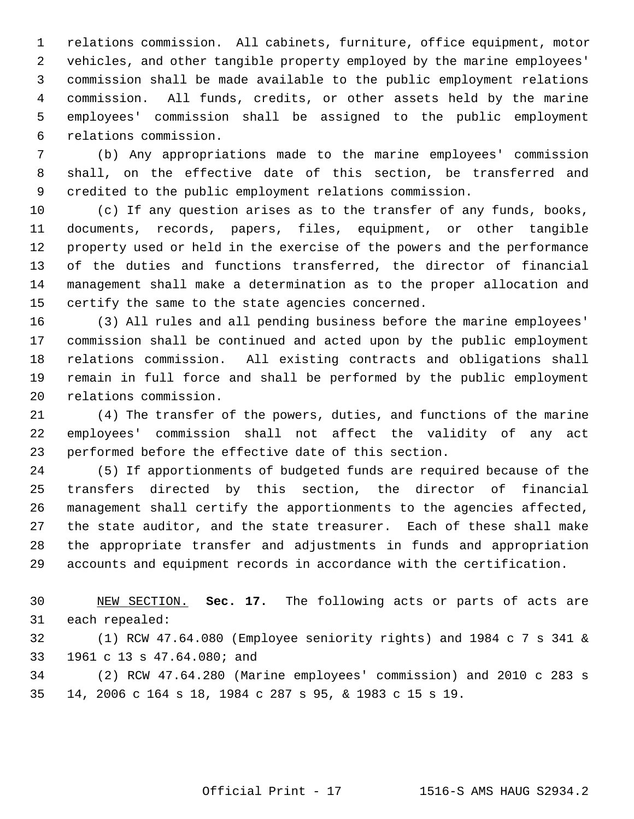1 relations commission. All cabinets, furniture, office equipment, motor 2 vehicles, and other tangible property employed by the marine employees' 3 commission shall be made available to the public employment relations 4 commission. All funds, credits, or other assets held by the marine 5 employees' commission shall be assigned to the public employment 6 relations commission.

 7 (b) Any appropriations made to the marine employees' commission 8 shall, on the effective date of this section, be transferred and 9 credited to the public employment relations commission.

10 (c) If any question arises as to the transfer of any funds, books, 11 documents, records, papers, files, equipment, or other tangible 12 property used or held in the exercise of the powers and the performance 13 of the duties and functions transferred, the director of financial 14 management shall make a determination as to the proper allocation and 15 certify the same to the state agencies concerned.

16 (3) All rules and all pending business before the marine employees' 17 commission shall be continued and acted upon by the public employment 18 relations commission. All existing contracts and obligations shall 19 remain in full force and shall be performed by the public employment 20 relations commission.

21 (4) The transfer of the powers, duties, and functions of the marine 22 employees' commission shall not affect the validity of any act 23 performed before the effective date of this section.

24 (5) If apportionments of budgeted funds are required because of the 25 transfers directed by this section, the director of financial 26 management shall certify the apportionments to the agencies affected, 27 the state auditor, and the state treasurer. Each of these shall make 28 the appropriate transfer and adjustments in funds and appropriation 29 accounts and equipment records in accordance with the certification.

30 NEW SECTION. **Sec. 17.** The following acts or parts of acts are 31 each repealed:

32 (1) RCW 47.64.080 (Employee seniority rights) and 1984 c 7 s 341 & 33 1961 c 13 s 47.64.080; and

34 (2) RCW 47.64.280 (Marine employees' commission) and 2010 c 283 s 35 14, 2006 c 164 s 18, 1984 c 287 s 95, & 1983 c 15 s 19.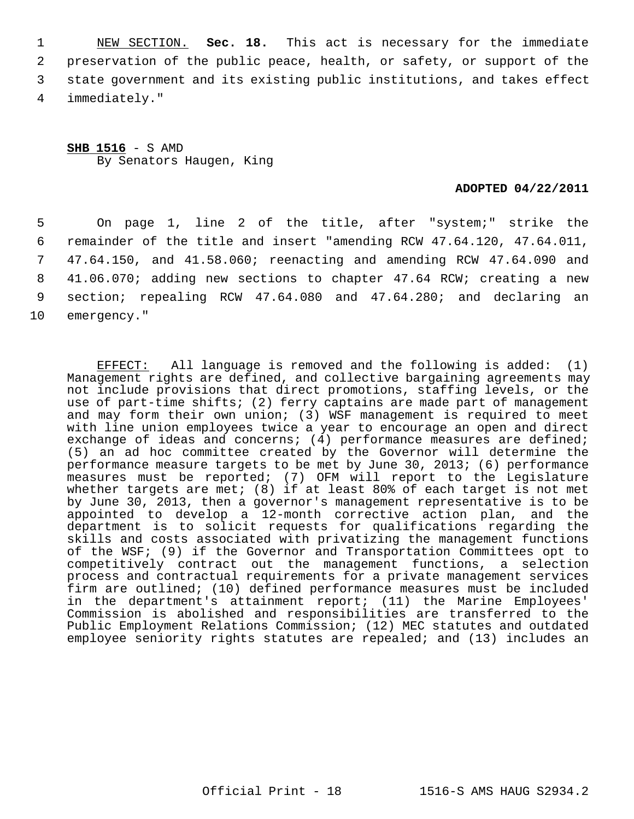1 NEW SECTION. **Sec. 18.** This act is necessary for the immediate 2 preservation of the public peace, health, or safety, or support of the 3 state government and its existing public institutions, and takes effect 4 immediately."

**SHB 1516** - S AMD By Senators Haugen, King

## **ADOPTED 04/22/2011**

 5 On page 1, line 2 of the title, after "system;" strike the 6 remainder of the title and insert "amending RCW 47.64.120, 47.64.011, 7 47.64.150, and 41.58.060; reenacting and amending RCW 47.64.090 and 8 41.06.070; adding new sections to chapter 47.64 RCW; creating a new 9 section; repealing RCW 47.64.080 and 47.64.280; and declaring an 10 emergency."

EFFECT: All language is removed and the following is added: (1) Management rights are defined, and collective bargaining agreements may not include provisions that direct promotions, staffing levels, or the use of part-time shifts; (2) ferry captains are made part of management and may form their own union; (3) WSF management is required to meet with line union employees twice a year to encourage an open and direct exchange of ideas and concerns; (4) performance measures are defined; (5) an ad hoc committee created by the Governor will determine the performance measure targets to be met by June 30, 2013; (6) performance measures must be reported; (7) OFM will report to the Legislature whether targets are met; (8) if at least 80% of each target is not met by June 30, 2013, then a governor's management representative is to be appointed to develop a 12-month corrective action plan, and the department is to solicit requests for qualifications regarding the skills and costs associated with privatizing the management functions of the WSF; (9) if the Governor and Transportation Committees opt to competitively contract out the management functions, a selection process and contractual requirements for a private management services firm are outlined; (10) defined performance measures must be included in the department's attainment report; (11) the Marine Employees' Commission is abolished and responsibilities are transferred to the Public Employment Relations Commission; (12) MEC statutes and outdated employee seniority rights statutes are repealed; and (13) includes an